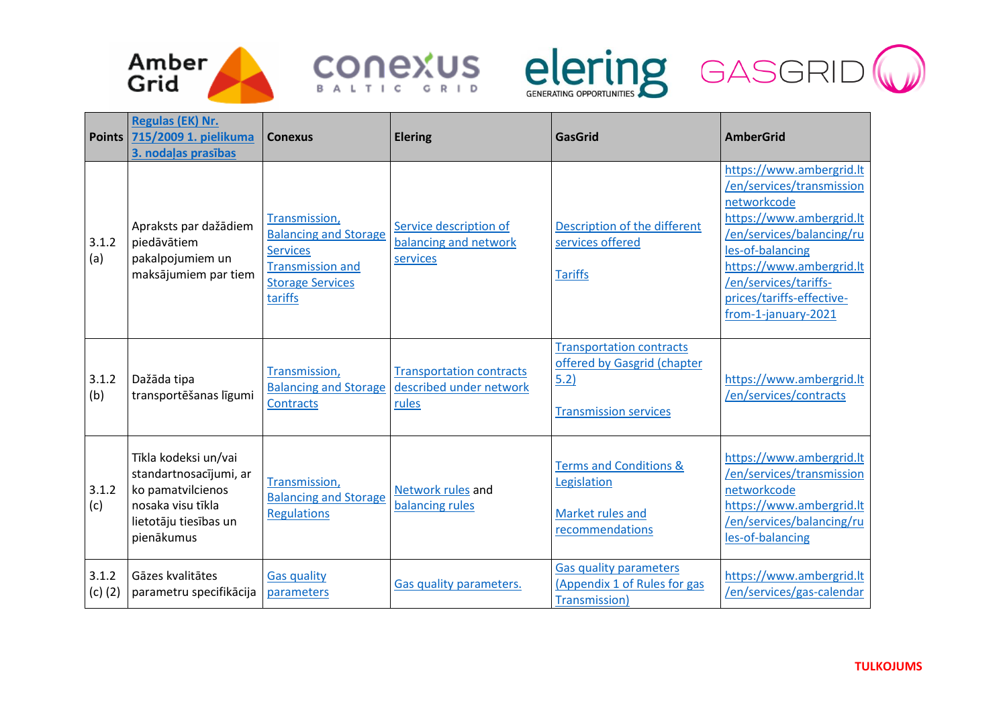







| <b>Points</b>        | Regulas (EK) Nr.<br>715/2009 1. pielikuma<br>3. nodaļas prasības                                                                | <b>Conexus</b>                                                                                                                    | <b>Elering</b>                                                      | <b>GasGrid</b>                                                                                         | <b>AmberGrid</b>                                                                                                                                                                                                                                           |
|----------------------|---------------------------------------------------------------------------------------------------------------------------------|-----------------------------------------------------------------------------------------------------------------------------------|---------------------------------------------------------------------|--------------------------------------------------------------------------------------------------------|------------------------------------------------------------------------------------------------------------------------------------------------------------------------------------------------------------------------------------------------------------|
| 3.1.2<br>(a)         | Apraksts par dažādiem<br>piedāvātiem<br>pakalpojumiem un<br>maksājumiem par tiem                                                | Transmission,<br><b>Balancing and Storage</b><br><b>Services</b><br><b>Transmission and</b><br><b>Storage Services</b><br>tariffs | Service description of<br>balancing and network<br>services         | Description of the different<br>services offered<br><b>Tariffs</b>                                     | https://www.ambergrid.lt<br>/en/services/transmission<br>networkcode<br>https://www.ambergrid.lt<br>/en/services/balancing/ru<br>les-of-balancing<br>https://www.ambergrid.lt<br>/en/services/tariffs-<br>prices/tariffs-effective-<br>from-1-january-2021 |
| 3.1.2<br>(b)         | Dažāda tipa<br>transportēšanas līgumi                                                                                           | Transmission,<br><b>Balancing and Storage</b><br><b>Contracts</b>                                                                 | <b>Transportation contracts</b><br>described under network<br>rules | <b>Transportation contracts</b><br>offered by Gasgrid (chapter<br>5.2)<br><b>Transmission services</b> | https://www.ambergrid.lt<br>/en/services/contracts                                                                                                                                                                                                         |
| 3.1.2<br>(c)         | Tīkla kodeksi un/vai<br>standartnosacījumi, ar<br>ko pamatvilcienos<br>nosaka visu tīkla<br>lietotāju tiesības un<br>pienākumus | Transmission,<br><b>Balancing and Storage</b><br><b>Regulations</b>                                                               | Network rules and<br>balancing rules                                | <b>Terms and Conditions &amp;</b><br>Legislation<br>Market rules and<br>recommendations                | https://www.ambergrid.lt<br>/en/services/transmission<br>networkcode<br>https://www.ambergrid.lt<br>/en/services/balancing/ru<br>les-of-balancing                                                                                                          |
| 3.1.2<br>$(c)$ $(2)$ | Gāzes kvalitātes<br>parametru specifikācija                                                                                     | <b>Gas quality</b><br>parameters                                                                                                  | Gas quality parameters.                                             | <b>Gas quality parameters</b><br>(Appendix 1 of Rules for gas<br>Transmission)                         | https://www.ambergrid.lt<br>/en/services/gas-calendar                                                                                                                                                                                                      |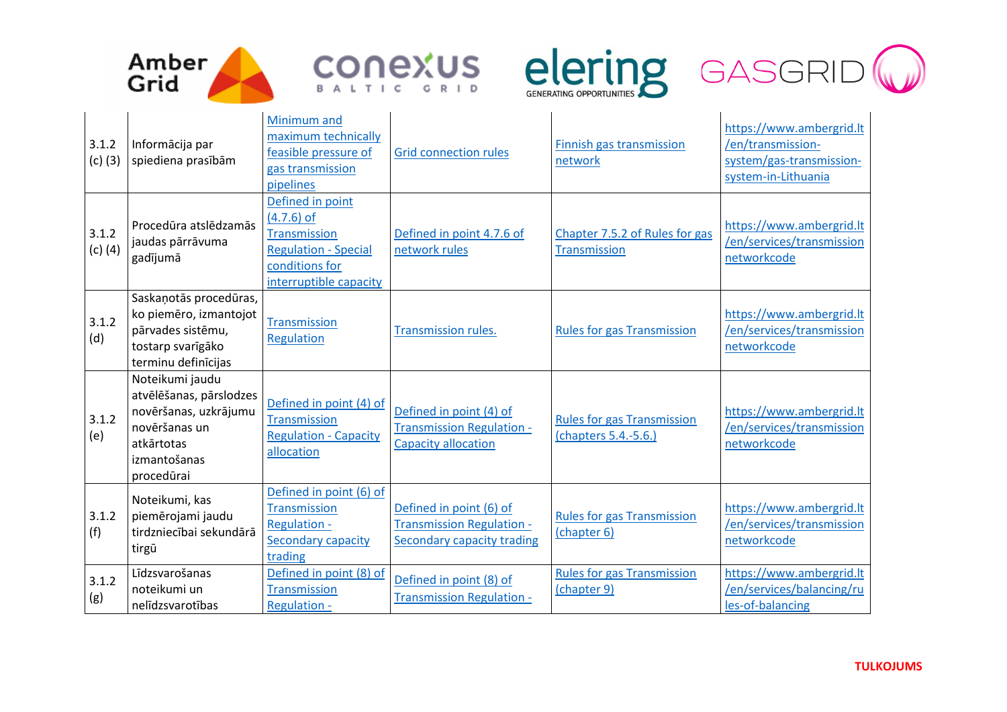







| 3.1.2<br>$(c)$ (3) | Informācija par<br>spiediena prasībām                                                                                            | Minimum and<br>maximum technically<br>feasible pressure of<br>gas transmission<br>pipelines                                        | <b>Grid connection rules</b>                                                              | Finnish gas transmission<br>network                       | https://www.ambergrid.lt<br>/en/transmission-<br>system/gas-transmission-<br>system-in-Lithuania |
|--------------------|----------------------------------------------------------------------------------------------------------------------------------|------------------------------------------------------------------------------------------------------------------------------------|-------------------------------------------------------------------------------------------|-----------------------------------------------------------|--------------------------------------------------------------------------------------------------|
| 3.1.2<br>$(c)$ (4) | Procedūra atslēdzamās<br>jaudas pārrāvuma<br>gadījumā                                                                            | Defined in point<br>$(4.7.6)$ of<br><b>Transmission</b><br><b>Regulation - Special</b><br>conditions for<br>interruptible capacity | Defined in point 4.7.6 of<br>network rules                                                | Chapter 7.5.2 of Rules for gas<br>Transmission            | https://www.ambergrid.lt<br>/en/services/transmission<br>networkcode                             |
| 3.1.2<br>(d)       | Saskaņotās procedūras,<br>ko piemēro, izmantojot<br>pārvades sistēmu,<br>tostarp svarīgāko<br>terminu definīcijas                | <b>Transmission</b><br>Regulation                                                                                                  | <b>Transmission rules.</b>                                                                | <b>Rules for gas Transmission</b>                         | https://www.ambergrid.lt<br>/en/services/transmission<br>networkcode                             |
| 3.1.2<br>(e)       | Noteikumi jaudu<br>atvēlēšanas, pārslodzes<br>novēršanas, uzkrājumu<br>novēršanas un<br>atkārtotas<br>izmantošanas<br>procedūrai | Defined in point (4) of<br><b>Transmission</b><br><b>Regulation - Capacity</b><br>allocation                                       | Defined in point (4) of<br><b>Transmission Regulation -</b><br><b>Capacity allocation</b> | <b>Rules for gas Transmission</b><br>(chapters 5.4.-5.6.) | https://www.ambergrid.lt<br>/en/services/transmission<br>networkcode                             |
| 3.1.2<br>(f)       | Noteikumi, kas<br>piemērojami jaudu<br>tirdzniecībai sekundārā<br>tirgū                                                          | Defined in point (6) of<br><b>Transmission</b><br><b>Regulation -</b><br><b>Secondary capacity</b><br>trading                      | Defined in point (6) of<br><b>Transmission Regulation -</b><br>Secondary capacity trading | <b>Rules for gas Transmission</b><br>(chapter 6)          | https://www.ambergrid.lt<br>/en/services/transmission<br>networkcode                             |
| 3.1.2<br>(g)       | Līdzsvarošanas<br>noteikumi un<br>nelīdzsvarotības                                                                               | Defined in point (8) of<br><b>Transmission</b><br><b>Regulation -</b>                                                              | Defined in point (8) of<br>Transmission Regulation -                                      | <b>Rules for gas Transmission</b><br>(chapter 9)          | https://www.ambergrid.lt<br>/en/services/balancing/ru<br>les-of-balancing                        |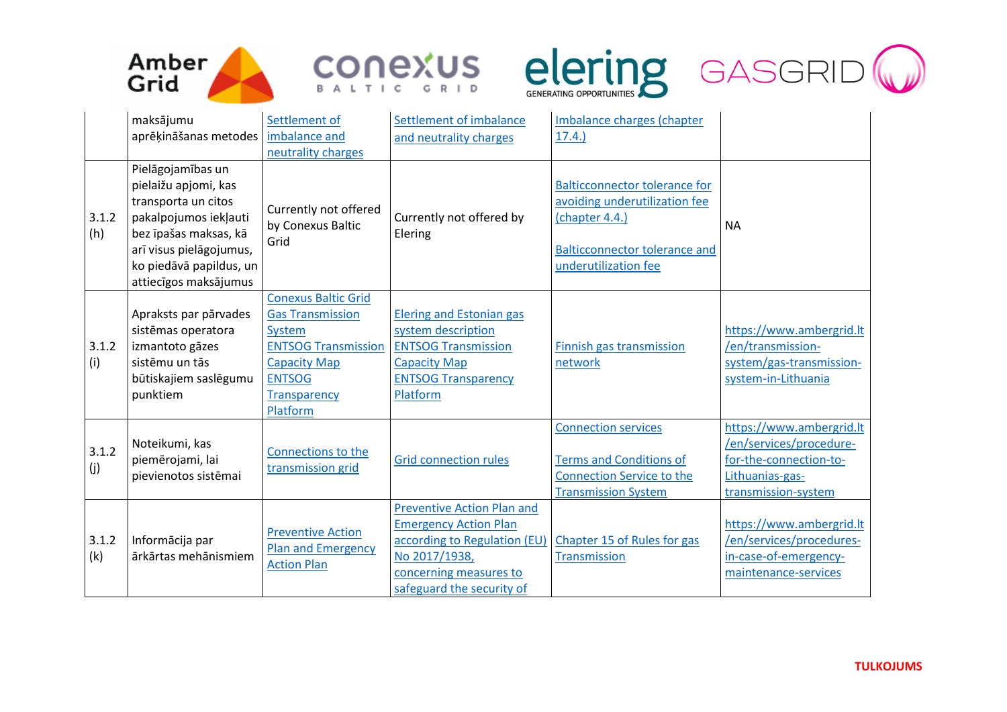







|              | maksājumu                                                                                                                                                                                         | Settlement of                                                                                                                                                            | Settlement of imbalance                                                                                                                                                   | Imbalance charges (chapter                                                                                                                              |                                                                                                                         |
|--------------|---------------------------------------------------------------------------------------------------------------------------------------------------------------------------------------------------|--------------------------------------------------------------------------------------------------------------------------------------------------------------------------|---------------------------------------------------------------------------------------------------------------------------------------------------------------------------|---------------------------------------------------------------------------------------------------------------------------------------------------------|-------------------------------------------------------------------------------------------------------------------------|
|              | aprēķināšanas metodes                                                                                                                                                                             | imbalance and                                                                                                                                                            | and neutrality charges                                                                                                                                                    | 17.4.                                                                                                                                                   |                                                                                                                         |
|              |                                                                                                                                                                                                   | neutrality charges                                                                                                                                                       |                                                                                                                                                                           |                                                                                                                                                         |                                                                                                                         |
| 3.1.2<br>(h) | Pielāgojamības un<br>pielaižu apjomi, kas<br>transporta un citos<br>pakalpojumos iekļauti<br>bez īpašas maksas, kā<br>arī visus pielāgojumus,<br>ko piedāvā papildus, un<br>attiecīgos maksājumus | Currently not offered<br>by Conexus Baltic<br>Grid                                                                                                                       | Currently not offered by<br>Elering                                                                                                                                       | <b>Balticconnector tolerance for</b><br>avoiding underutilization fee<br>(chapter 4.4.)<br><b>Balticconnector tolerance and</b><br>underutilization fee | <b>NA</b>                                                                                                               |
| 3.1.2<br>(i) | Apraksts par pārvades<br>sistēmas operatora<br>izmantoto gāzes<br>sistēmu un tās<br>būtiskajiem saslēgumu<br>punktiem                                                                             | <b>Conexus Baltic Grid</b><br><b>Gas Transmission</b><br>System<br><b>ENTSOG Transmission</b><br><b>Capacity Map</b><br><b>ENTSOG</b><br><b>Transparency</b><br>Platform | <b>Elering and Estonian gas</b><br>system description<br><b>ENTSOG Transmission</b><br><b>Capacity Map</b><br><b>ENTSOG Transparency</b><br>Platform                      | Finnish gas transmission<br>network                                                                                                                     | https://www.ambergrid.lt<br>/en/transmission-<br>system/gas-transmission-<br>system-in-Lithuania                        |
| 3.1.2<br>(j) | Noteikumi, kas<br>piemērojami, lai<br>pievienotos sistēmai                                                                                                                                        | Connections to the<br>transmission grid                                                                                                                                  | <b>Grid connection rules</b>                                                                                                                                              | <b>Connection services</b><br><b>Terms and Conditions of</b><br><b>Connection Service to the</b><br><b>Transmission System</b>                          | https://www.ambergrid.lt<br>/en/services/procedure-<br>for-the-connection-to-<br>Lithuanias-gas-<br>transmission-system |
| 3.1.2<br>(k) | Informācija par<br>ārkārtas mehānismiem                                                                                                                                                           | <b>Preventive Action</b><br><b>Plan and Emergency</b><br><b>Action Plan</b>                                                                                              | <b>Preventive Action Plan and</b><br><b>Emergency Action Plan</b><br>according to Regulation (EU)<br>No 2017/1938,<br>concerning measures to<br>safeguard the security of | Chapter 15 of Rules for gas<br>Transmission                                                                                                             | https://www.ambergrid.lt<br>/en/services/procedures-<br>in-case-of-emergency-<br>maintenance-services                   |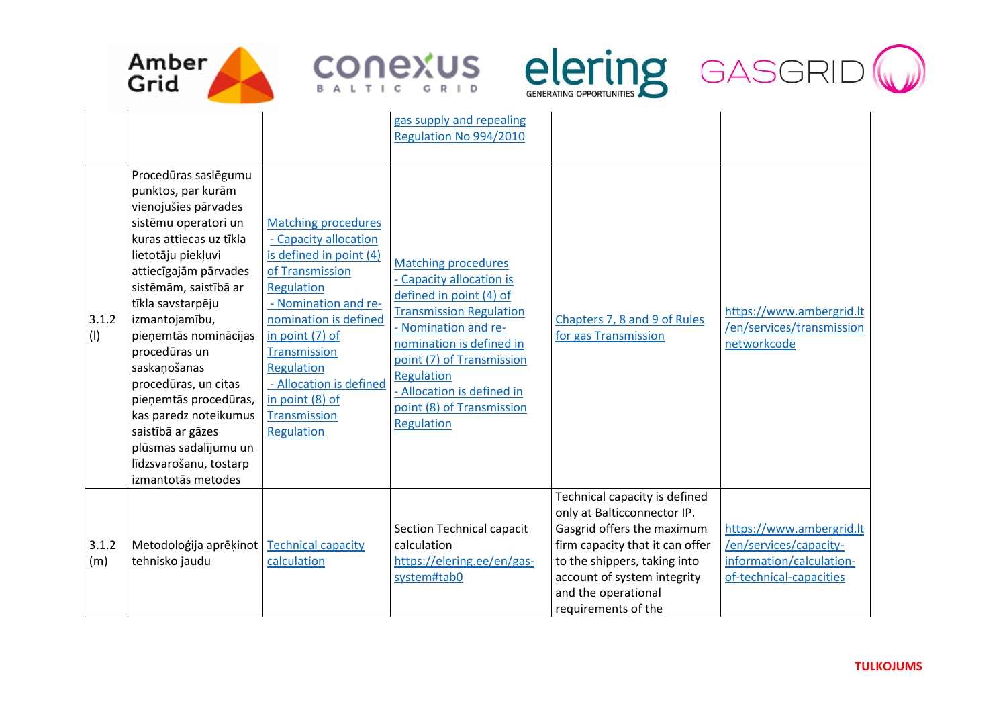







| 3.1.2<br>(1) | Procedūras saslēgumu<br>punktos, par kurām<br>vienojušies pārvades<br>sistēmu operatori un<br>kuras attiecas uz tīkla<br>lietotāju piekļuvi<br>attiecīgajām pārvades<br>sistēmām, saistībā ar<br>tīkla savstarpēju<br>izmantojamību,<br>pieņemtās nominācijas<br>procedūras un<br>saskaņošanas<br>procedūras, un citas<br>pieņemtās procedūras,<br>kas paredz noteikumus<br>saistībā ar gāzes<br>plūsmas sadalījumu un<br>līdzsvarošanu, tostarp<br>izmantotās metodes | <b>Matching procedures</b><br>- Capacity allocation<br>is defined in point (4)<br>of Transmission<br>Regulation<br>- Nomination and re-<br>nomination is defined<br>in point (7) of<br><b>Transmission</b><br>Regulation<br>- Allocation is defined<br>in point (8) of<br>Transmission<br>Regulation | gas supply and repealing<br>Regulation No 994/2010<br><b>Matching procedures</b><br>- Capacity allocation is<br>defined in point (4) of<br><b>Transmission Regulation</b><br>- Nomination and re-<br>nomination is defined in<br>point (7) of Transmission<br>Regulation<br>- Allocation is defined in<br>point (8) of Transmission<br>Regulation | Chapters 7, 8 and 9 of Rules<br>for gas Transmission                                                                                                                                                                                       | https://www.ambergrid.lt<br>/en/services/transmission<br>networkcode                                      |
|--------------|------------------------------------------------------------------------------------------------------------------------------------------------------------------------------------------------------------------------------------------------------------------------------------------------------------------------------------------------------------------------------------------------------------------------------------------------------------------------|------------------------------------------------------------------------------------------------------------------------------------------------------------------------------------------------------------------------------------------------------------------------------------------------------|---------------------------------------------------------------------------------------------------------------------------------------------------------------------------------------------------------------------------------------------------------------------------------------------------------------------------------------------------|--------------------------------------------------------------------------------------------------------------------------------------------------------------------------------------------------------------------------------------------|-----------------------------------------------------------------------------------------------------------|
| 3.1.2<br>(m) | Metodoloģija aprēķinot<br>tehnisko jaudu                                                                                                                                                                                                                                                                                                                                                                                                                               | <b>Technical capacity</b><br>calculation                                                                                                                                                                                                                                                             | Section Technical capacit<br>calculation<br>https://elering.ee/en/gas-<br>system#tab0                                                                                                                                                                                                                                                             | Technical capacity is defined<br>only at Balticconnector IP.<br>Gasgrid offers the maximum<br>firm capacity that it can offer<br>to the shippers, taking into<br>account of system integrity<br>and the operational<br>requirements of the | https://www.ambergrid.lt<br>/en/services/capacity-<br>information/calculation-<br>of-technical-capacities |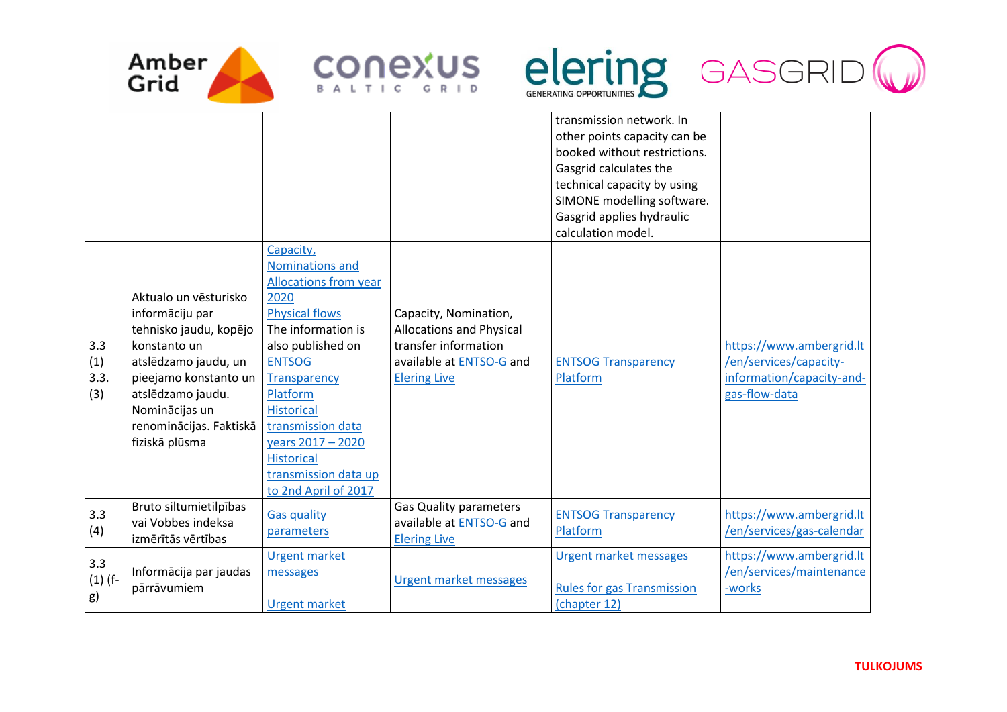





|                           |                                                                                                                                                                                                                         |                                                                                                                                                                                                                                                                                                                                  |                                                                                                                                     | transmission network. In<br>other points capacity can be<br>booked without restrictions.<br>Gasgrid calculates the<br>technical capacity by using<br>SIMONE modelling software.<br>Gasgrid applies hydraulic<br>calculation model. |                                                                                                  |
|---------------------------|-------------------------------------------------------------------------------------------------------------------------------------------------------------------------------------------------------------------------|----------------------------------------------------------------------------------------------------------------------------------------------------------------------------------------------------------------------------------------------------------------------------------------------------------------------------------|-------------------------------------------------------------------------------------------------------------------------------------|------------------------------------------------------------------------------------------------------------------------------------------------------------------------------------------------------------------------------------|--------------------------------------------------------------------------------------------------|
| 3.3<br>(1)<br>3.3.<br>(3) | Aktualo un vēsturisko<br>informāciju par<br>tehnisko jaudu, kopējo<br>konstanto un<br>atslēdzamo jaudu, un<br>pieejamo konstanto un<br>atslēdzamo jaudu.<br>Nominācijas un<br>renominācijas. Faktiskā<br>fiziskā plūsma | Capacity,<br>Nominations and<br><b>Allocations from year</b><br>2020<br><b>Physical flows</b><br>The information is<br>also published on<br><b>ENTSOG</b><br><b>Transparency</b><br>Platform<br><b>Historical</b><br>transmission data<br>years 2017 - 2020<br><b>Historical</b><br>transmission data up<br>to 2nd April of 2017 | Capacity, Nomination,<br><b>Allocations and Physical</b><br>transfer information<br>available at ENTSO-G and<br><b>Elering Live</b> | <b>ENTSOG Transparency</b><br>Platform                                                                                                                                                                                             | https://www.ambergrid.lt<br>/en/services/capacity-<br>information/capacity-and-<br>gas-flow-data |
| 3.3<br>(4)                | Bruto siltumietilpības<br>vai Vobbes indeksa<br>izmērītās vērtības                                                                                                                                                      | <b>Gas quality</b><br>parameters                                                                                                                                                                                                                                                                                                 | <b>Gas Quality parameters</b><br>available at ENTSO-G and<br><b>Elering Live</b>                                                    | <b>ENTSOG Transparency</b><br>Platform                                                                                                                                                                                             | https://www.ambergrid.lt<br>/en/services/gas-calendar                                            |
| 3.3<br>$(1)$ (f-<br>g)    | Informācija par jaudas<br>pārrāvumiem                                                                                                                                                                                   | <b>Urgent market</b><br>messages<br><b>Urgent market</b>                                                                                                                                                                                                                                                                         | <b>Urgent market messages</b>                                                                                                       | <b>Urgent market messages</b><br><b>Rules for gas Transmission</b><br>(chapter 12)                                                                                                                                                 | https://www.ambergrid.lt<br>/en/services/maintenance<br>-works                                   |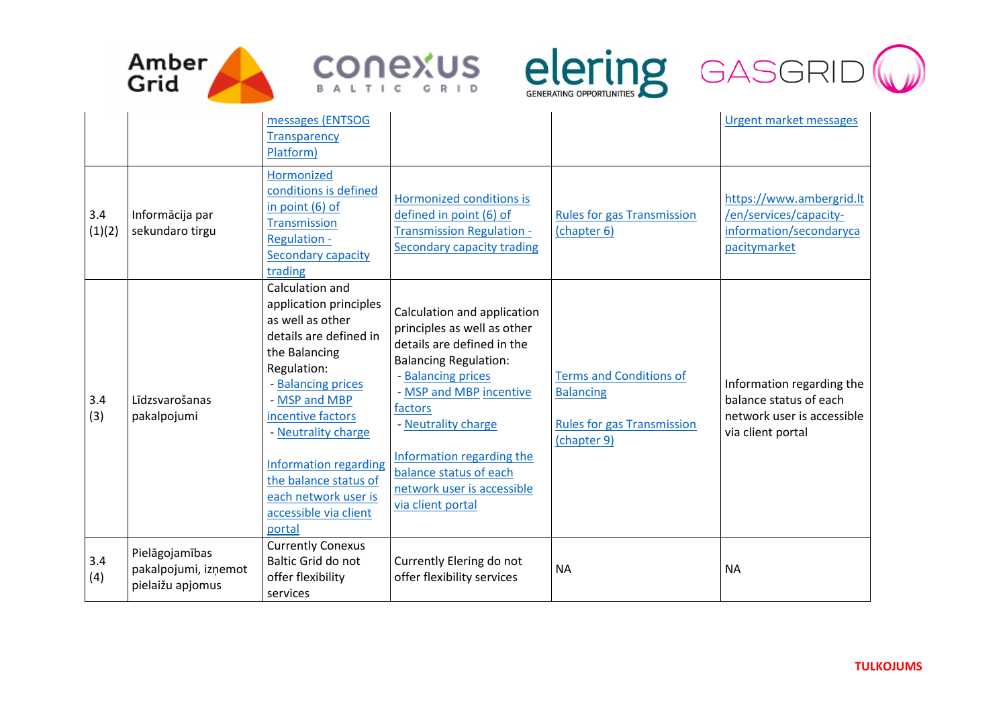







|               |                                                            | messages (ENTSOG<br><b>Transparency</b><br>Platform)                                                                                                                                                                                                                                                                    |                                                                                                                                                                                                                                                                                                                       |                                                                                                        | <b>Urgent market messages</b>                                                                          |
|---------------|------------------------------------------------------------|-------------------------------------------------------------------------------------------------------------------------------------------------------------------------------------------------------------------------------------------------------------------------------------------------------------------------|-----------------------------------------------------------------------------------------------------------------------------------------------------------------------------------------------------------------------------------------------------------------------------------------------------------------------|--------------------------------------------------------------------------------------------------------|--------------------------------------------------------------------------------------------------------|
| 3.4<br>(1)(2) | Informācija par<br>sekundaro tirgu                         | Hormonized<br>conditions is defined<br>in point $(6)$ of<br><b>Transmission</b><br><b>Regulation -</b><br>Secondary capacity<br>trading                                                                                                                                                                                 | Hormonized conditions is<br>defined in point (6) of<br><b>Transmission Regulation -</b><br><b>Secondary capacity trading</b>                                                                                                                                                                                          | <b>Rules for gas Transmission</b><br>(chapter 6)                                                       | https://www.ambergrid.lt<br>/en/services/capacity-<br>information/secondaryca<br>pacitymarket          |
| 3.4<br>(3)    | Līdzsvarošanas<br>pakalpojumi                              | Calculation and<br>application principles<br>as well as other<br>details are defined in<br>the Balancing<br>Regulation:<br>- Balancing prices<br>- MSP and MBP<br>incentive factors<br>- Neutrality charge<br>Information regarding<br>the balance status of<br>each network user is<br>accessible via client<br>portal | Calculation and application<br>principles as well as other<br>details are defined in the<br><b>Balancing Regulation:</b><br>- Balancing prices<br>- MSP and MBP incentive<br>factors<br>- Neutrality charge<br>Information regarding the<br>balance status of each<br>network user is accessible<br>via client portal | <b>Terms and Conditions of</b><br><b>Balancing</b><br><b>Rules for gas Transmission</b><br>(chapter 9) | Information regarding the<br>balance status of each<br>network user is accessible<br>via client portal |
| 3.4<br>(4)    | Pielāgojamības<br>pakalpojumi, izņemot<br>pielaižu apjomus | <b>Currently Conexus</b><br>Baltic Grid do not<br>offer flexibility<br>services                                                                                                                                                                                                                                         | Currently Elering do not<br>offer flexibility services                                                                                                                                                                                                                                                                | <b>NA</b>                                                                                              | <b>NA</b>                                                                                              |